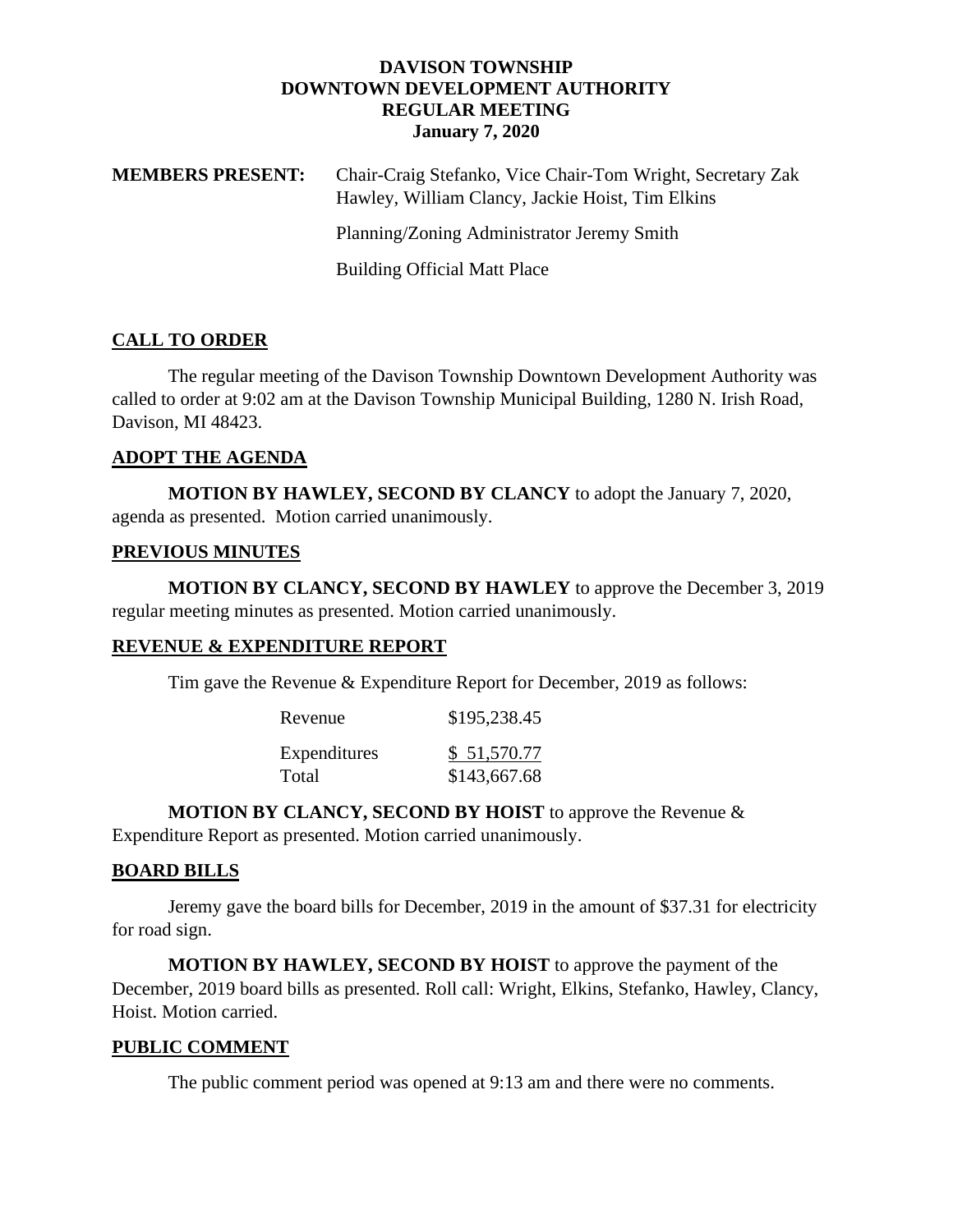#### **DAVISON TOWNSHIP DOWNTOWN DEVELOPMENT AUTHORITY REGULAR MEETING January 7, 2020**

| <b>MEMBERS PRESENT:</b> | Chair-Craig Stefanko, Vice Chair-Tom Wright, Secretary Zak<br>Hawley, William Clancy, Jackie Hoist, Tim Elkins |
|-------------------------|----------------------------------------------------------------------------------------------------------------|
|                         | Planning/Zoning Administrator Jeremy Smith                                                                     |
|                         | <b>Building Official Matt Place</b>                                                                            |
|                         |                                                                                                                |

### **CALL TO ORDER**

The regular meeting of the Davison Township Downtown Development Authority was called to order at 9:02 am at the Davison Township Municipal Building, 1280 N. Irish Road, Davison, MI 48423.

### **ADOPT THE AGENDA**

**MOTION BY HAWLEY, SECOND BY CLANCY** to adopt the January 7, 2020, agenda as presented. Motion carried unanimously.

## **PREVIOUS MINUTES**

**MOTION BY CLANCY, SECOND BY HAWLEY** to approve the December 3, 2019 regular meeting minutes as presented. Motion carried unanimously.

# **REVENUE & EXPENDITURE REPORT**

Tim gave the Revenue & Expenditure Report for December, 2019 as follows:

| Revenue      | \$195,238.45 |
|--------------|--------------|
| Expenditures | \$51,570.77  |
| Total        | \$143,667.68 |

**MOTION BY CLANCY, SECOND BY HOIST** to approve the Revenue &

Expenditure Report as presented. Motion carried unanimously.

### **BOARD BILLS**

Jeremy gave the board bills for December, 2019 in the amount of \$37.31 for electricity for road sign.

**MOTION BY HAWLEY, SECOND BY HOIST** to approve the payment of the December, 2019 board bills as presented. Roll call: Wright, Elkins, Stefanko, Hawley, Clancy, Hoist. Motion carried.

### **PUBLIC COMMENT**

The public comment period was opened at 9:13 am and there were no comments.